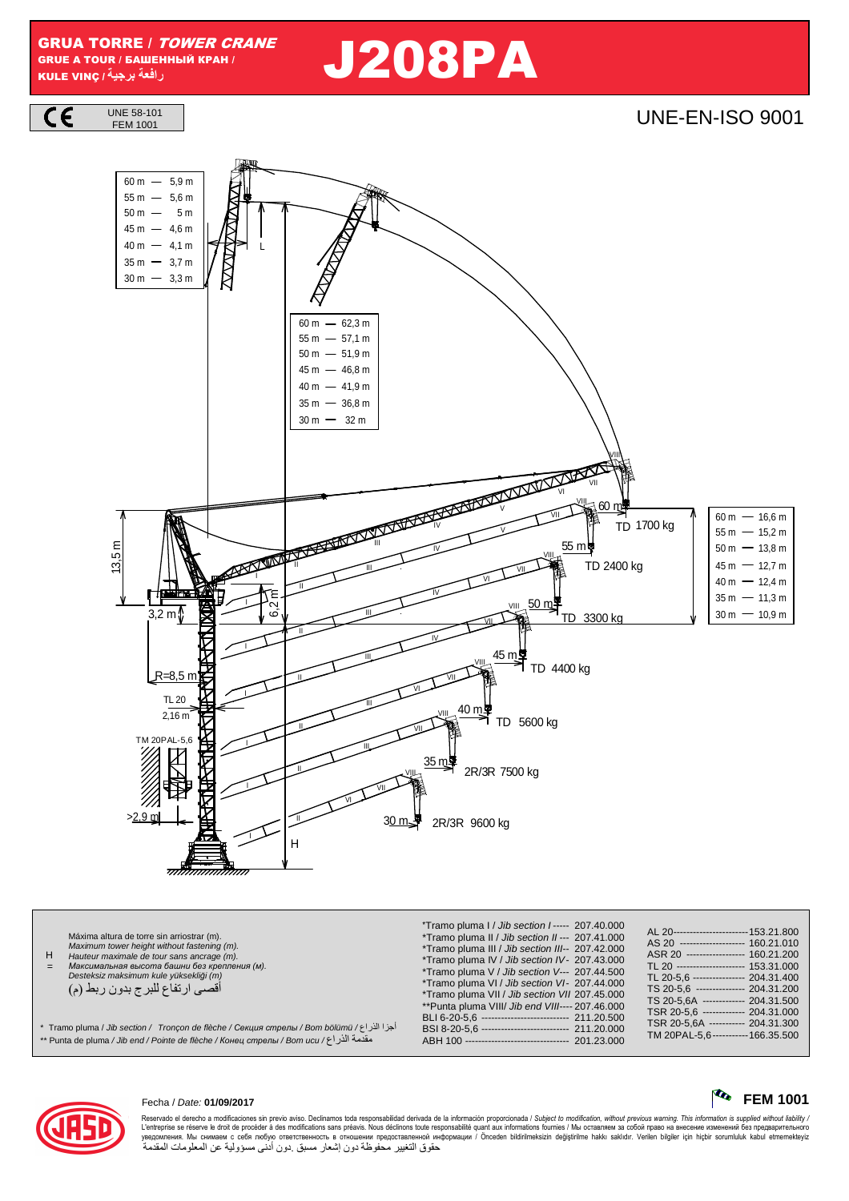GRUA TORRE / TOWER CRANE GRUE A TOUR / БАШЕННЫЙ КРАН / KULE VINÇ **/ -**

 $C \in$ 

 **را** J208PA

UNE 58-101<br>FEM 1001 **UNE-EN-ISO 9001** 13,5 m 4400 kg TD TD 3300 kg 45 m 50 m I V IV III II 3,2 m 9600 kg 2R/3R 2R/3R 7500 kg 5600 kg TD 3<u>0</u> m早 35 m 40 m L R=8,5 m E<br>0,2<br>6,1  $2,16 m$ TL 20 I VII III II VI IV III II VII IV III II VII III II I II H TD 2400 kg TM 20PAL-5,6 >2,9 m VIII VIII VIII VIII VIII VI<br>VI 60 m VIII 55 m♥ I V IV III II VII TD 1700 kg VIII VII VI VII VI  $50 m - 5 m$  $30~{\rm m}~-~$  3,3  ${\rm m}$  $35 m - 3,7 m$ 40 m — 4,1 m 4,6 m 45 m  $55 m - 5,6 m$  $60 m - 5.9 m$  $50 m - 51,9 m$  $30 m - 32 m$ 36,8 m 35 m 40 m — 41,9 m 46,8 m 45 m  $55 m - 57.1 m$  $60 m - 62.3 m$  $55 m - 15,2 m$ 45 m 12,7 m 40 m 12,4 m 35 m 11,3 m 30 m 10,9 m  $50 m - 13.8 m$  $60 m - 16,6 m$ 

H = Máxima altura de torre sin arriostrar (m). Maximum tower height without fastening (m). Hauteur maximale de tour sans ancrage (m). *Максимальная высота башни без крепления* (*м*). Desteksiz maksimum kule yüksekli*ğ*i (m) أقصىي ارتفاع للبرج بدون ربط (م) \*Tramo pluma I / Jib section I ----- 207.40.000 \*Tramo pluma II / Jib section II --- 207.41.000 \*Tramo pluma III / Jib section III-- 207.42.000 \*Tramo pluma IV / Jib section IV - 207.43.000 \*Tramo pluma V / Jib section V--- 207.44.500 \*Tramo pluma VI / Jib section VI- 207.44.000 \*Tramo pluma VII / Jib section VII 207.45.000 \*\*Punta pluma VIII/ Jib end VIII---- 207.46.000 BLI 6-20-5,6 ----------------------------- 211.20.500<br>BSI 8-20-5,6 --------------------------- 211.20.000 BSI 8-20-5,6<br>ABH 100 -----ABH 100 -------------------------------- 201.23.000 AL 20----------------------------153.21.800<br>AS 20 --------------------- 160 21 010 AS 20 --------------------- 160.21.010<br>ASR 20 ------------------ 160.21.010  $-160.21.200$ TL 20 --------------------- 153.31.000<br>TL 20-5.6 ---------------- 204.31.400 TL 20-5,6 ---------------- 204.31.400<br>TS 20-5,6 --------------- 204.31.200 TS 20-5,6 ---------------- 204.31.200<br>TS 20-5,6A ------------- 204.31.500 TS 20-5,6A ------------- 204.31.500<br>TSR 20-5,6 ------------- 204.31.000 ---- 204.31.000<br>---- 204.31.300 TSR 20-5,6A ----------- 204.31.300<br>TM 20PAL-5.6 ----------- 166.35.500  $TM 20PAL-5.6---$ \* Tramo pluma / Jib section / Tronçon de flèche / *Секция стрелы* / Bom bölümü / راع3ا ا12أ مقدمة الذر اع/ Bom ucu / Homta de pluma / Jib end / Pointe de flèche / Конец стрелы / Bom ucu / \*



Reservado el derecho a modificaciones sin previo aviso. Declinamos toda responsabilidad derivada de la información proporcionada / Subjec*t to modification, without previous warning. This information is supplied without l* حقوق التغيير محفوظة دون إشعار مسبق دون أدنى مسؤولية عن المعلومات المقدمة

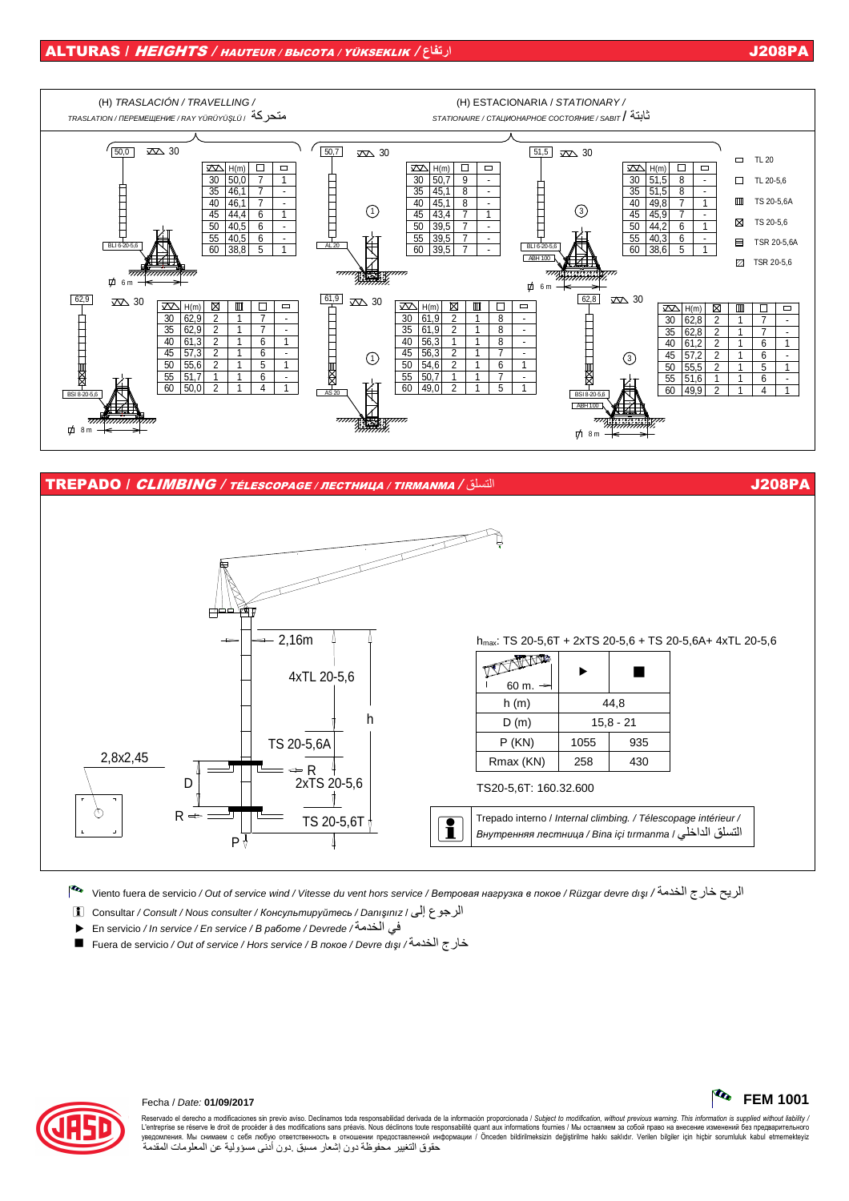

TS20-5,6T: 160.32.600

Trepado interno / Internal climbing. / Télescopage intérieur / النسلق الداخلي / Внутренняя лестница / Bina içi tırmanma

الريح خارج الخدمة/ / Viento fuera de servicio / Out of service wind / Vitesse du vent hors service /Bempoeaя нагрузка в покое / Rüzgar devre dışı / ألريح خارج الخدمة/ Viento fuera de servicio / Out of service wind / Vites

الرجوع إلى / Consultar / Consult / Nous consulter / Консультируйтесь / Danışınız | وال

TS 20-5,6T

في الخدمة/ En servicio / In service / En service / B paбome / Devrede

P ⊹

خارج الخدمة/ Fuera de servicio / Out of service / Hors service / B nokoe / Devre dişi / محارج الخدمة



ᡯ

### Fecha / Date: 01/09/2017

R

Reservado el derecho a modificaciones sin previo aviso. Declinamos toda responsabilidad derivada de la información proporcionada / Subject to modification, without previous warning. This information is supplied without lia L'entreprise se réserve le droit de procéder à des modifications sans préavis. Nous déclinons toute responsabilité quant aux informations fournies / Mы оставляем за собой право на внесение изменений без предварительного<br>у حقوق التغيير محفوظة دون إشعار مسبق دون أدنى مسؤولية عن المعلومات المقدمة

J208PA

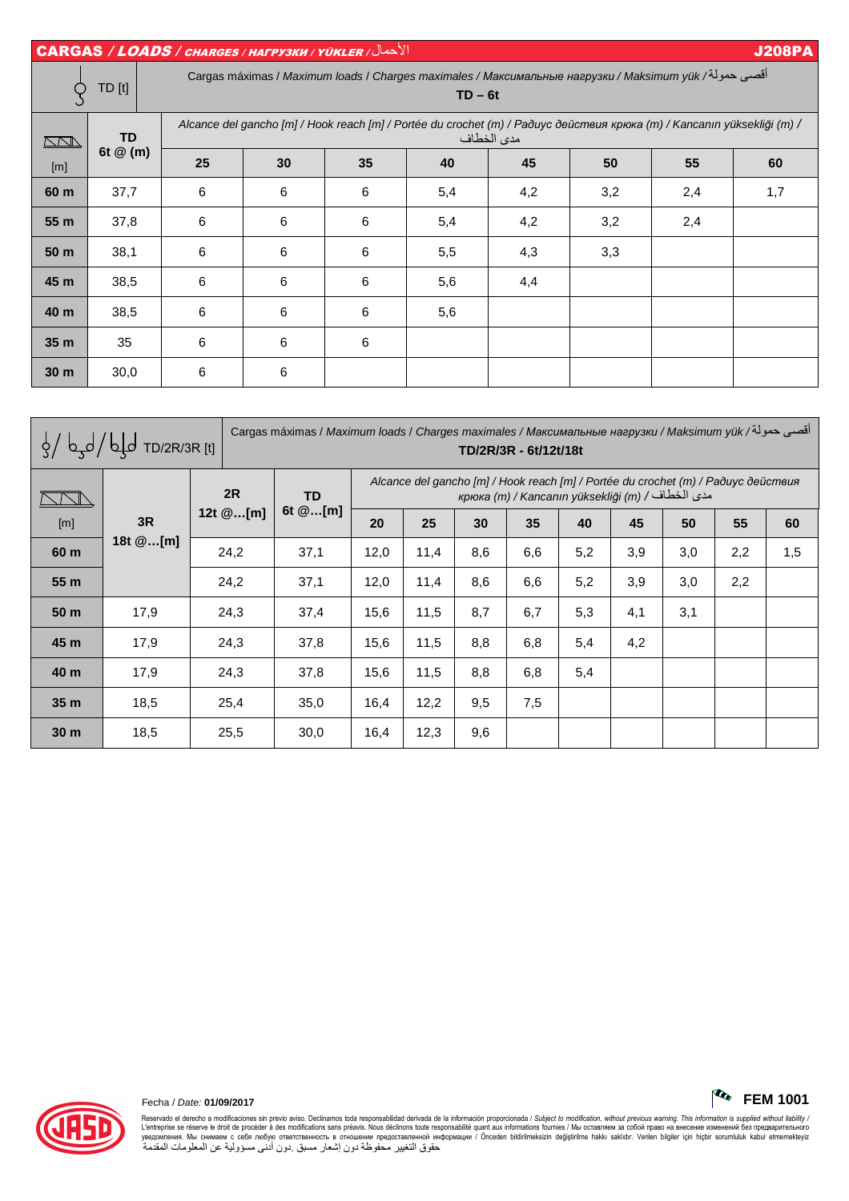| الأحمال/ CARGAS / LOADS / CHARGES / HAFPY3KW / YÜKLER<br><b>J208PA</b> |            |    |                                                                                                                                       |    |     |     |     |     |     |  |  |  |  |
|------------------------------------------------------------------------|------------|----|---------------------------------------------------------------------------------------------------------------------------------------|----|-----|-----|-----|-----|-----|--|--|--|--|
|                                                                        | TD [t]     |    | أقصى حمولة/ Cargas máximas / Maximum loads / Charges maximales / Максимальные нагрузки / Maksimum yük<br>$TD - 6t$                    |    |     |     |     |     |     |  |  |  |  |
| <u>NN </u>                                                             | <b>TD</b>  |    | Alcance del gancho [m] / Hook reach [m] / Portée du crochet (m) / Paðuyc действия крюка (m) / Kancanın yüksekliği (m) /<br>مدى الخطاف |    |     |     |     |     |     |  |  |  |  |
| [m]                                                                    | 6t $@$ (m) | 25 | 30                                                                                                                                    | 35 | 40  | 45  | 50  | 55  | 60  |  |  |  |  |
| 60 m                                                                   | 37,7       | 6  | 6                                                                                                                                     | 6  | 5,4 | 4,2 | 3,2 | 2,4 | 1,7 |  |  |  |  |
| 55 m                                                                   | 37,8       | 6  | 6                                                                                                                                     | 6  | 5,4 | 4,2 | 3,2 | 2,4 |     |  |  |  |  |
| 50 <sub>m</sub>                                                        | 38,1       | 6  | 6                                                                                                                                     | 6  | 5,5 | 4,3 | 3,3 |     |     |  |  |  |  |
| 45 m                                                                   | 38,5       | 6  | 6                                                                                                                                     | 6  | 5,6 | 4,4 |     |     |     |  |  |  |  |
| 40 m                                                                   | 38,5       | 6  | 6                                                                                                                                     | 6  | 5,6 |     |     |     |     |  |  |  |  |
| 35 <sub>m</sub>                                                        | 35         | 6  | 6                                                                                                                                     | 6  |     |     |     |     |     |  |  |  |  |
| 30 <sub>m</sub>                                                        | 30,0       | 6  | 6                                                                                                                                     |    |     |     |     |     |     |  |  |  |  |

| $\frac{1}{2}$ b d b d d TD/2R/3R [t] |                |                | أقصى حمولة/ Cargas máximas / Maximum loads / Charges maximales / Максимальные нагрузки / Maksimum yük<br>TD/2R/3R - 6t/12t/18t |                                                                                                                                       |      |     |     |     |     |     |     |     |
|--------------------------------------|----------------|----------------|--------------------------------------------------------------------------------------------------------------------------------|---------------------------------------------------------------------------------------------------------------------------------------|------|-----|-----|-----|-----|-----|-----|-----|
|                                      | 3R<br>18t @[m] | 2R<br>12t @[m] | <b>TD</b><br>6t $@[m]$                                                                                                         | Alcance del gancho [m] / Hook reach [m] / Portée du crochet (m) / Paðuyc действия<br>крюка (m) / Капсапіп уüksekliği (m) / مدى الخطاف |      |     |     |     |     |     |     |     |
| [m]                                  |                |                |                                                                                                                                | 20                                                                                                                                    | 25   | 30  | 35  | 40  | 45  | 50  | 55  | 60  |
| 60 m                                 |                | 24,2           | 37,1                                                                                                                           | 12,0                                                                                                                                  | 11,4 | 8,6 | 6,6 | 5,2 | 3,9 | 3,0 | 2,2 | 1,5 |
| 55 m                                 |                | 24,2           | 37,1                                                                                                                           | 12,0                                                                                                                                  | 11,4 | 8,6 | 6,6 | 5,2 | 3,9 | 3,0 | 2,2 |     |
| 50 m                                 | 17,9           | 24,3           | 37,4                                                                                                                           | 15,6                                                                                                                                  | 11,5 | 8,7 | 6,7 | 5,3 | 4,1 | 3,1 |     |     |
| 45 m                                 | 17,9           | 24,3           | 37,8                                                                                                                           | 15,6                                                                                                                                  | 11,5 | 8,8 | 6,8 | 5,4 | 4,2 |     |     |     |
| 40 m                                 | 17,9           | 24,3           | 37,8                                                                                                                           | 15,6                                                                                                                                  | 11,5 | 8,8 | 6,8 | 5,4 |     |     |     |     |
| 35 <sub>m</sub>                      | 18,5           | 25,4           | 35,0                                                                                                                           | 16,4                                                                                                                                  | 12,2 | 9,5 | 7,5 |     |     |     |     |     |
| 30 <sub>m</sub>                      | 18,5           | 25,5           | 30,0                                                                                                                           | 16,4                                                                                                                                  | 12,3 | 9,6 |     |     |     |     |     |     |



Reservado el derecho a modificaciones sin previo aviso. Declinamos toda responsabilidad derivada de la información proporcionada / Subjec*t to modification, without previous warning. This information is supplied without*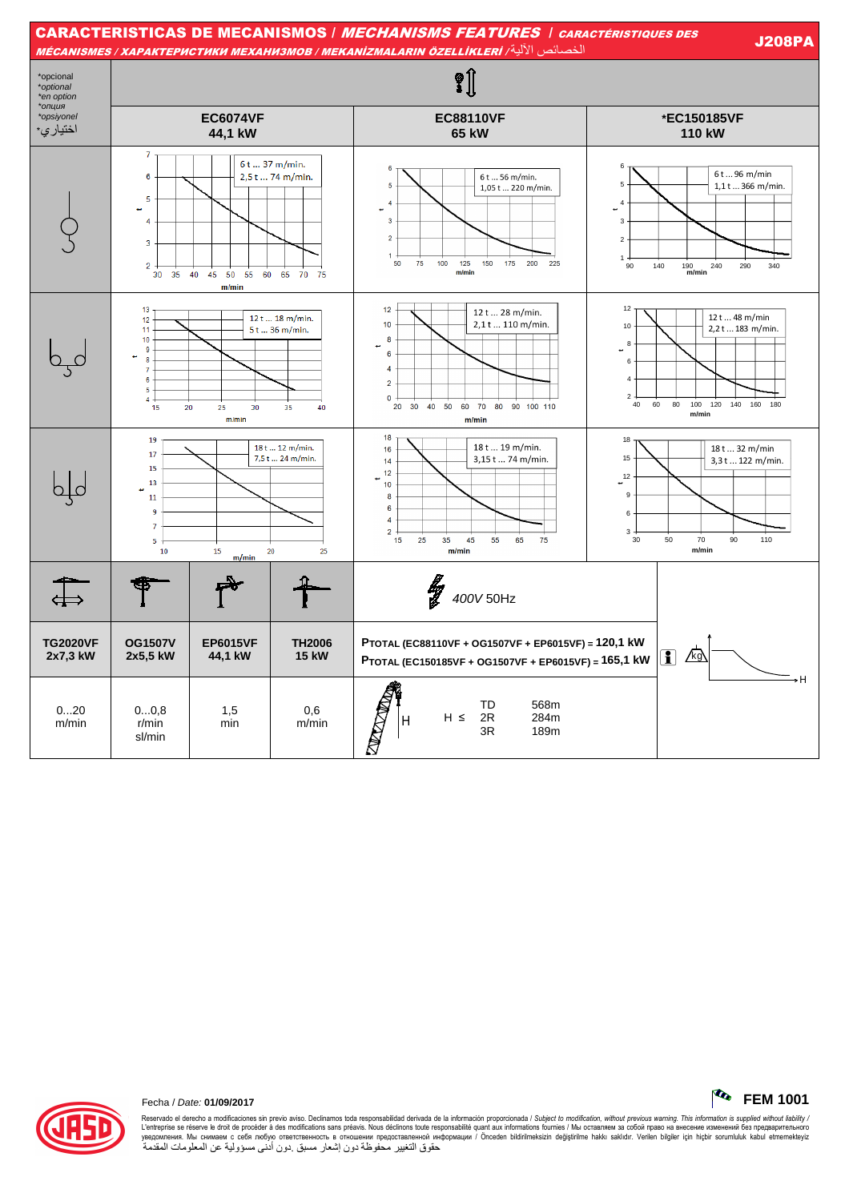| <b>CARACTERISTICAS DE MECANISMOS / MECHANISMS FEATURES / CARACTÉRISTIQUES DES</b><br><b>J208PA</b><br>الخصائص الآلية/ MÉCANISMES / ХАРАКТЕРИСТИКИ МЕХАНИЗМОВ / MEKANIZMALARIN ÖZELLİKLERİ |                                                                                                                                |                               |                                               |                                                                                                                                                                                            |                                                                                                                                                           |  |  |  |  |  |
|-------------------------------------------------------------------------------------------------------------------------------------------------------------------------------------------|--------------------------------------------------------------------------------------------------------------------------------|-------------------------------|-----------------------------------------------|--------------------------------------------------------------------------------------------------------------------------------------------------------------------------------------------|-----------------------------------------------------------------------------------------------------------------------------------------------------------|--|--|--|--|--|
| *opcional<br>*optional<br>*en option                                                                                                                                                      | $\hat{\mathbf{S}}$                                                                                                             |                               |                                               |                                                                                                                                                                                            |                                                                                                                                                           |  |  |  |  |  |
| *опция<br>*opsiyonel<br>اختيار ي*                                                                                                                                                         |                                                                                                                                | <b>EC6074VF</b><br>44,1 kW    |                                               | <b>EC88110VF</b><br>65 kW                                                                                                                                                                  | *EC150185VF<br>110 kW                                                                                                                                     |  |  |  |  |  |
|                                                                                                                                                                                           | 7<br>6<br>5<br>4<br>3<br>$\overline{2}$<br>35<br>30                                                                            | 40 45 50 55 60 65 70<br>m/min | 6t  37 m/min.<br>2,5 t  74 m/min.<br>75       | 6<br>6 t  56 m/min.<br>5<br>1,05 t  220 m/min.<br>$\boldsymbol{\Lambda}$<br>3<br>$\overline{2}$<br>50<br>75<br>100<br>125<br>150<br>175<br>200<br>225<br>m/min                             | 6<br>6t96 m/min<br>5<br>1,1t366 m/min.<br>$\overline{4}$<br>3<br>$\overline{\mathbf{c}}$<br>1<br>140<br>90<br>$190$ <sub>m/min</sub><br>240<br>290<br>340 |  |  |  |  |  |
|                                                                                                                                                                                           | 13<br>12<br>11<br>10<br>9<br><b>R</b><br>7<br>6<br>5<br>$\overline{4}$<br>15<br>20                                             | 25<br>30<br>m/min             | 12 t  18 m/min.<br>5 t  36 m/min.<br>35<br>40 | 12<br>12 t  28 m/min.<br>2,1 t  110 m/min.<br>10<br>8<br>6<br>$\overline{4}$<br>$\overline{2}$<br>$\mathbf{0}$<br>30 40 50<br>20<br>60<br>70<br>80 90 100 110<br>m/min                     | 12<br>12 t  48 m/min<br>10<br>2,2t 183 m/min.<br>8<br>6<br>$\overline{4}$<br>$\overline{2}$<br>80<br>60<br>100<br>120<br>40<br>140<br>160 180<br>m/min    |  |  |  |  |  |
|                                                                                                                                                                                           | 19<br>18 t  12 m/min.<br>17<br>7,5 t  24 m/min.<br>15<br>13<br>11<br>9<br>$\overline{7}$<br>5<br>10<br>15<br>20<br>25<br>m/min |                               |                                               | 18<br>18 t  19 m/min.<br>16<br>3,15 t  74 m/min.<br>14<br>12<br>$10$<br>$\boldsymbol{8}$<br>$\bf 6$<br>$\overline{4}$<br>$\overline{2}$<br>25<br>45<br>15<br>35<br>55<br>65<br>75<br>m/min | 18<br>18 t  32 m/min<br>15<br>3,3t  122 m/min.<br>12<br>÷.<br>$\boldsymbol{9}$<br>$\boldsymbol{6}$<br>3<br>70<br>30<br>50<br>90<br>110<br>m/min           |  |  |  |  |  |
| $\overline{4}$                                                                                                                                                                            |                                                                                                                                |                               |                                               | łg<br>400V 50Hz                                                                                                                                                                            |                                                                                                                                                           |  |  |  |  |  |
| <b>TG2020VF</b><br>2x7,3 kW                                                                                                                                                               | <b>OG1507V</b><br>2x5,5 kW                                                                                                     | <b>EP6015VF</b><br>44,1 kW    | <b>TH2006</b><br><b>15 kW</b>                 | PTOTAL (EC88110VF + OG1507VF + EP6015VF) = 120,1 kW<br>PTOTAL (EC150185VF + OG1507VF + EP6015VF) = 165,1 kW                                                                                | $\sqrt{kg}$<br>i)                                                                                                                                         |  |  |  |  |  |
| 020<br>m/min                                                                                                                                                                              | 00.8<br>r/min<br>sl/min                                                                                                        | 1,5<br>min                    | 0,6<br>m/min                                  | 568m<br>TD<br><b>All Contracts</b><br>2R<br>$H \leq$<br>284m<br>Н<br>3R<br>189m                                                                                                            | ۰H                                                                                                                                                        |  |  |  |  |  |



Reservado el derecho a modificaciones sin previo aviso. Declinamos toda responsabilidad derivada de la información proporcionada / Subject to *modification, without previous warning. This information is supplied without* 

 $\sim$  FEM 1001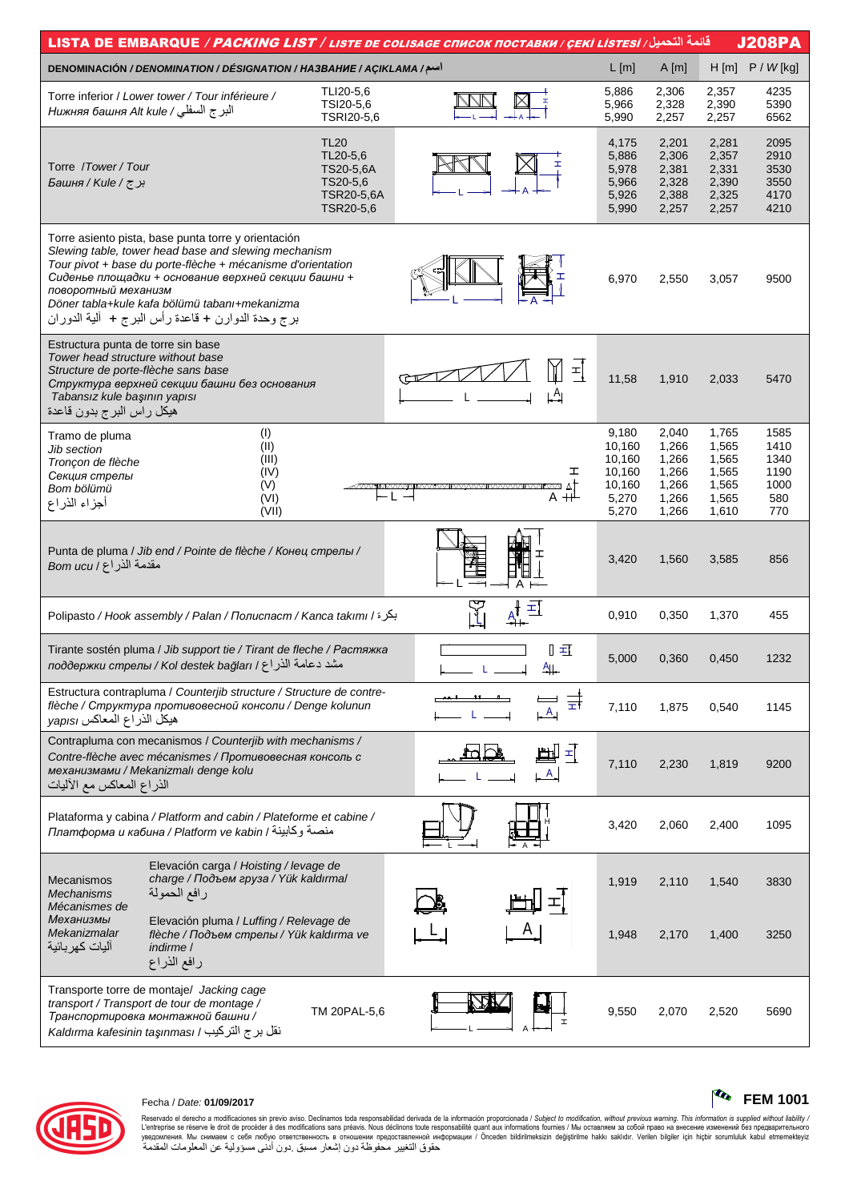| <u>قائ</u> مة التحميل/ LISTA DE EMBARQUE <i>/ PACKING LIST / LISTE DE COLISAGE CПИСОК ПОСТАВКИ / ÇEKİ LISTESI</i>                                                                                                                                                                                                                                               |                                                                                     |                                                                             |                                  |                                                                 |                                                             |                                                             | <b>J208PA</b>                                      |
|-----------------------------------------------------------------------------------------------------------------------------------------------------------------------------------------------------------------------------------------------------------------------------------------------------------------------------------------------------------------|-------------------------------------------------------------------------------------|-----------------------------------------------------------------------------|----------------------------------|-----------------------------------------------------------------|-------------------------------------------------------------|-------------------------------------------------------------|----------------------------------------------------|
| DENOMINACIÓN / DENOMINATION / DÉSIGNATION / HA3BAHUE / AÇIKLAMA /سم/                                                                                                                                                                                                                                                                                            |                                                                                     |                                                                             |                                  | $L$ [m]                                                         | A[m]                                                        | H[m]                                                        | $P / W$ [kg]                                       |
| Torre inferior / Lower tower / Tour inférieure /<br>البرج السفلي/ Нижняя башня Alt kule                                                                                                                                                                                                                                                                         |                                                                                     | TLI20-5,6<br>TSI20-5,6<br>TSRI20-5,6                                        |                                  | 5,886<br>5,966<br>5,990                                         | 2,306<br>2,328<br>2,257                                     | 2,357<br>2,390<br>2,257                                     | 4235<br>5390<br>6562                               |
| Torre /Tower/Tour<br>برج/ Башня / Kule /                                                                                                                                                                                                                                                                                                                        |                                                                                     | <b>TL20</b><br>TL20-5,6<br>TS20-5,6A<br>TS20-5,6<br>TSR20-5,6A<br>TSR20-5,6 |                                  | 4,175<br>5,886<br>5,978<br>5,966<br>5,926<br>5,990              | 2,201<br>2,306<br>2,381<br>2,328<br>2,388<br>2,257          | 2,281<br>2,357<br>2,331<br>2,390<br>2,325<br>2,257          | 2095<br>2910<br>3530<br>3550<br>4170<br>4210       |
| Torre asiento pista, base punta torre y orientación<br>Slewing table, tower head base and slewing mechanism<br>Tour pivot + base du porte-flèche + mécanisme d'orientation<br>Сиденье площадки + основание верхней секции башни +<br>поворотный механизм<br>Döner tabla+kule kafa bölümü tabanı+mekanizma<br>برج وحدة الدوارن + قاعدة رأس البرج +  ألية الدوران |                                                                                     |                                                                             |                                  | 6,970                                                           | 2,550                                                       | 3,057                                                       | 9500                                               |
| Estructura punta de torre sin base<br>Tower head structure without base<br>Structure de porte-flèche sans base<br>Структура верхней секции башни без основания<br>Tabansız kule başının yapısı<br>هيكل راس البرج بدون قاعدة                                                                                                                                     |                                                                                     |                                                                             | 픠<br>$\stackrel{A}{\rightarrow}$ | 11,58                                                           | 1,910                                                       | 2,033                                                       | 5470                                               |
| Tramo de pluma<br>Jib section<br>Tronçon de flèche<br>Секция стрелы<br>Bom bölümü<br>أجزاء الذراع                                                                                                                                                                                                                                                               | (1)<br>(II)<br>(III)<br>(IV)<br>(V)<br>(VI)<br>(VII)                                |                                                                             | ェ<br>∣∆ נ⊿∨<br>A ++              | 9,180<br>10,160<br>10,160<br>10,160<br>10,160<br>5,270<br>5,270 | 2,040<br>1,266<br>1,266<br>1,266<br>1,266<br>1,266<br>1,266 | 1,765<br>1,565<br>1,565<br>1,565<br>1,565<br>1,565<br>1,610 | 1585<br>1410<br>1340<br>1190<br>1000<br>580<br>770 |
| Punta de pluma / Jib end / Pointe de flèche / Конец стрелы /<br>مقدمة الذراع / Bom ucu                                                                                                                                                                                                                                                                          |                                                                                     |                                                                             |                                  | 3,420                                                           | 1,560                                                       | 3,585                                                       | 856                                                |
| Polipasto / Hook assembly / Palan / Полиспаст / Kanca takımı / بكرة                                                                                                                                                                                                                                                                                             |                                                                                     |                                                                             | 피                                | 0,910                                                           | 0,350                                                       | 1,370                                                       | 455                                                |
| Tirante sostén pluma / Jib support tie / Tirant de fleche / Растяжка<br>مشد دعامة الذراع / лоддержки стрелы / КоІ destek bağları /                                                                                                                                                                                                                              |                                                                                     |                                                                             | П =Т<br><u>Ащ</u>                | 5,000                                                           | 0,360                                                       | 0,450                                                       | 1232                                               |
| Estructura contrapluma / Counterjib structure / Structure de contre-<br>flèche / Структура противовесной консоли / Denge kolunun<br>هيكل الذراع المعاكس yapısı                                                                                                                                                                                                  |                                                                                     |                                                                             | 긁<br>A                           | 7,110                                                           | 1,875                                                       | 0,540                                                       | 1145                                               |
| Contrapluma con mecanismos / Counteriib with mechanisms /<br>Contre-flèche avec mécanismes / Противовесная консоль с<br>механизмами / Mekanizmalı denge kolu<br>الذراع المعاكس مع الأليات                                                                                                                                                                       |                                                                                     |                                                                             | 脚<br>$\pm$<br>A                  | 7,110                                                           | 2,230                                                       | 1,819                                                       | 9200                                               |
| Plataforma y cabina / Platform and cabin / Plateforme et cabine /<br>платформа и кабина / Platform ve kabin / منصة وكابينة                                                                                                                                                                                                                                      |                                                                                     |                                                                             |                                  | 3,420                                                           | 2,060                                                       | 2,400                                                       | 1095                                               |
| <b>Mecanismos</b><br>رافع الحمولة<br>Mechanisms<br>Mécanismes de                                                                                                                                                                                                                                                                                                | Elevación carga / Hoisting / levage de<br>charge / Подъем груза / Yük kaldırma/     |                                                                             | 피                                | 1,919                                                           | 2,110                                                       | 1,540                                                       | 3830                                               |
| Механизмы<br>Mekanizmalar<br>اليات كهربائية<br><i>indirme</i> /<br>رافع الذراع                                                                                                                                                                                                                                                                                  | Elevación pluma / Luffing / Relevage de<br>flèche / Подъем стрелы / Yük kaldırma ve |                                                                             |                                  | 1,948                                                           | 2,170                                                       | 1,400                                                       | 3250                                               |
| Transporte torre de montaje/ Jacking cage<br>transport / Transport de tour de montage /<br>Транспортировка монтажной башни /<br>نقل برج التركيب / Kaldırma kafesinin taşınması                                                                                                                                                                                  |                                                                                     | TM 20PAL-5,6                                                                | Ŧ,                               | 9,550                                                           | 2,070                                                       | 2,520                                                       | 5690                                               |



# Fecha / Date: **01/09/2017 FEM 1001**

Reservado el derecho a modificaciones sin previo aviso. Declinamos toda responsabilidad derivada de la información proporcionada / Subjec*t to modification, without previous warning. This information is supplied without*